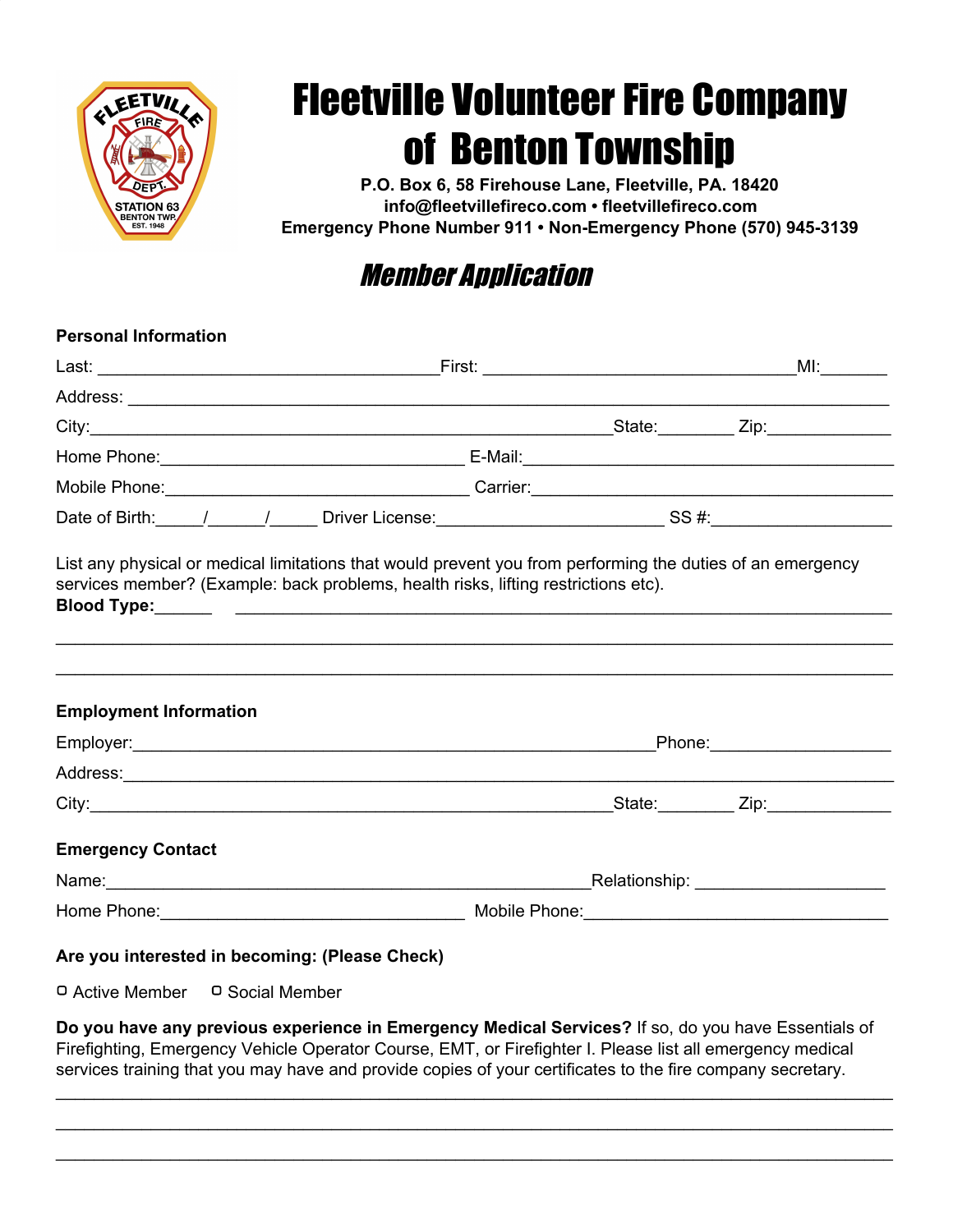

## **Fleetville Volunteer Fire Company** of Benton Township

**P.O. Box 6, 58 Firehouse Lane, Fleetville, PA. 18420 info@fleetvillefireco.com • fleetvillefireco.com Emergency Phone Number 911 • Non-Emergency Phone (570) 945-3139**

## Member Application

| <b>Personal Information</b>                                                                                                                                                                                                                                                                                                    |  |    |  |
|--------------------------------------------------------------------------------------------------------------------------------------------------------------------------------------------------------------------------------------------------------------------------------------------------------------------------------|--|----|--|
|                                                                                                                                                                                                                                                                                                                                |  | M! |  |
|                                                                                                                                                                                                                                                                                                                                |  |    |  |
|                                                                                                                                                                                                                                                                                                                                |  |    |  |
|                                                                                                                                                                                                                                                                                                                                |  |    |  |
|                                                                                                                                                                                                                                                                                                                                |  |    |  |
|                                                                                                                                                                                                                                                                                                                                |  |    |  |
| List any physical or medical limitations that would prevent you from performing the duties of an emergency<br>services member? (Example: back problems, health risks, lifting restrictions etc).                                                                                                                               |  |    |  |
| <b>Employment Information</b>                                                                                                                                                                                                                                                                                                  |  |    |  |
| Address: Address:                                                                                                                                                                                                                                                                                                              |  |    |  |
|                                                                                                                                                                                                                                                                                                                                |  |    |  |
| <b>Emergency Contact</b>                                                                                                                                                                                                                                                                                                       |  |    |  |
| Name: Name: Name: Name: Name: Name: Name: Name: Name: Name: Name: Name: Name: Name: Name: Name: Name: Name: Name: Name: Name: Name: Name: Name: Name: Name: Name: Name: Name: Name: Name: Name: Name: Name: Name: Name: Name:                                                                                                  |  |    |  |
|                                                                                                                                                                                                                                                                                                                                |  |    |  |
| Are you interested in becoming: (Please Check)                                                                                                                                                                                                                                                                                 |  |    |  |
| D Active Member D Social Member                                                                                                                                                                                                                                                                                                |  |    |  |
| Do you have any previous experience in Emergency Medical Services? If so, do you have Essentials of<br>Firefighting, Emergency Vehicle Operator Course, EMT, or Firefighter I. Please list all emergency medical<br>services training that you may have and provide copies of your certificates to the fire company secretary. |  |    |  |

\_\_\_\_\_\_\_\_\_\_\_\_\_\_\_\_\_\_\_\_\_\_\_\_\_\_\_\_\_\_\_\_\_\_\_\_\_\_\_\_\_\_\_\_\_\_\_\_\_\_\_\_\_\_\_\_\_\_\_\_\_\_\_\_\_\_\_\_\_\_\_\_\_\_\_\_\_\_\_\_\_\_\_\_\_\_\_\_ \_\_\_\_\_\_\_\_\_\_\_\_\_\_\_\_\_\_\_\_\_\_\_\_\_\_\_\_\_\_\_\_\_\_\_\_\_\_\_\_\_\_\_\_\_\_\_\_\_\_\_\_\_\_\_\_\_\_\_\_\_\_\_\_\_\_\_\_\_\_\_\_\_\_\_\_\_\_\_\_\_\_\_\_\_\_\_\_ \_\_\_\_\_\_\_\_\_\_\_\_\_\_\_\_\_\_\_\_\_\_\_\_\_\_\_\_\_\_\_\_\_\_\_\_\_\_\_\_\_\_\_\_\_\_\_\_\_\_\_\_\_\_\_\_\_\_\_\_\_\_\_\_\_\_\_\_\_\_\_\_\_\_\_\_\_\_\_\_\_\_\_\_\_\_\_\_